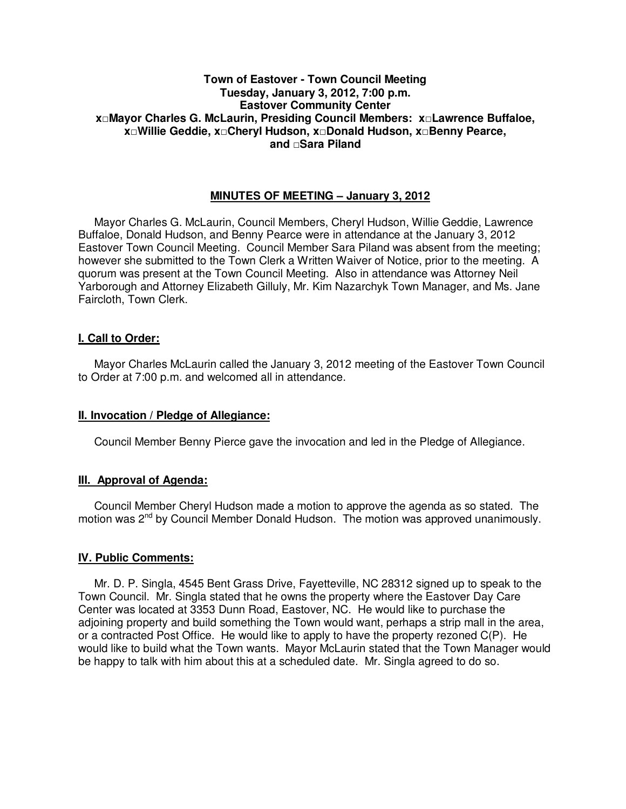## **Town of Eastover - Town Council Meeting Tuesday, January 3, 2012, 7:00 p.m. Eastover Community Center x□Mayor Charles G. McLaurin, Presiding Council Members: x□Lawrence Buffaloe, x□Willie Geddie, x□Cheryl Hudson, x□Donald Hudson, x□Benny Pearce, and □Sara Piland**

# **MINUTES OF MEETING – January 3, 2012**

Mayor Charles G. McLaurin, Council Members, Cheryl Hudson, Willie Geddie, Lawrence Buffaloe, Donald Hudson, and Benny Pearce were in attendance at the January 3, 2012 Eastover Town Council Meeting. Council Member Sara Piland was absent from the meeting; however she submitted to the Town Clerk a Written Waiver of Notice, prior to the meeting. A quorum was present at the Town Council Meeting. Also in attendance was Attorney Neil Yarborough and Attorney Elizabeth Gilluly, Mr. Kim Nazarchyk Town Manager, and Ms. Jane Faircloth, Town Clerk.

## **I. Call to Order:**

Mayor Charles McLaurin called the January 3, 2012 meeting of the Eastover Town Council to Order at 7:00 p.m. and welcomed all in attendance.

### **II. Invocation / Pledge of Allegiance:**

Council Member Benny Pierce gave the invocation and led in the Pledge of Allegiance.

# **III. Approval of Agenda:**

 Council Member Cheryl Hudson made a motion to approve the agenda as so stated. The motion was 2<sup>nd</sup> by Council Member Donald Hudson. The motion was approved unanimously.

### **IV. Public Comments:**

 Mr. D. P. Singla, 4545 Bent Grass Drive, Fayetteville, NC 28312 signed up to speak to the Town Council. Mr. Singla stated that he owns the property where the Eastover Day Care Center was located at 3353 Dunn Road, Eastover, NC. He would like to purchase the adjoining property and build something the Town would want, perhaps a strip mall in the area, or a contracted Post Office. He would like to apply to have the property rezoned C(P). He would like to build what the Town wants. Mayor McLaurin stated that the Town Manager would be happy to talk with him about this at a scheduled date. Mr. Singla agreed to do so.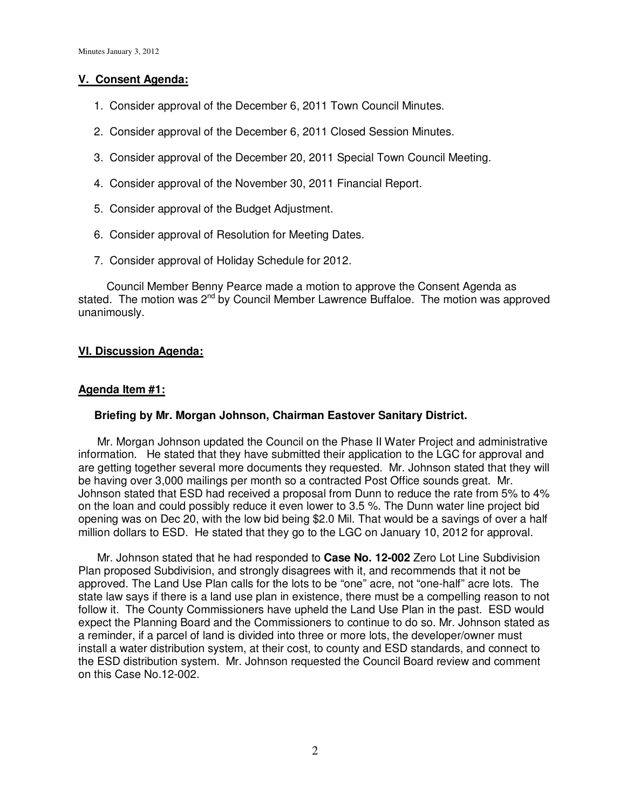# **V. Consent Agenda:**

- 1. Consider approval of the December 6, 2011 Town Council Minutes.
- 2. Consider approval of the December 6, 2011 Closed Session Minutes.
- 3. Consider approval of the December 20, 2011 Special Town Council Meeting.
- 4. Consider approval of the November 30, 2011 Financial Report.
- 5. Consider approval of the Budget Adjustment.
- 6. Consider approval of Resolution for Meeting Dates.
- 7. Consider approval of Holiday Schedule for 2012.

Council Member Benny Pearce made a motion to approve the Consent Agenda as stated. The motion was  $2^{nd}$  by Council Member Lawrence Buffaloe. The motion was approved unanimously.

## **VI. Discussion Agenda:**

## **Agenda Item #1:**

### **Briefing by Mr. Morgan Johnson, Chairman Eastover Sanitary District.**

 Mr. Morgan Johnson updated the Council on the Phase II Water Project and administrative information. He stated that they have submitted their application to the LGC for approval and are getting together several more documents they requested. Mr. Johnson stated that they will be having over 3,000 mailings per month so a contracted Post Office sounds great. Mr. Johnson stated that ESD had received a proposal from Dunn to reduce the rate from 5% to 4% on the loan and could possibly reduce it even lower to 3.5 %. The Dunn water line project bid opening was on Dec 20, with the low bid being \$2.0 Mil. That would be a savings of over a half million dollars to ESD. He stated that they go to the LGC on January 10, 2012 for approval.

 Mr. Johnson stated that he had responded to **Case No. 12-002** Zero Lot Line Subdivision Plan proposed Subdivision, and strongly disagrees with it, and recommends that it not be approved. The Land Use Plan calls for the lots to be "one" acre, not "one-half" acre lots. The state law says if there is a land use plan in existence, there must be a compelling reason to not follow it. The County Commissioners have upheld the Land Use Plan in the past. ESD would expect the Planning Board and the Commissioners to continue to do so. Mr. Johnson stated as a reminder, if a parcel of land is divided into three or more lots, the developer/owner must install a water distribution system, at their cost, to county and ESD standards, and connect to the ESD distribution system. Mr. Johnson requested the Council Board review and comment on this Case No.12-002.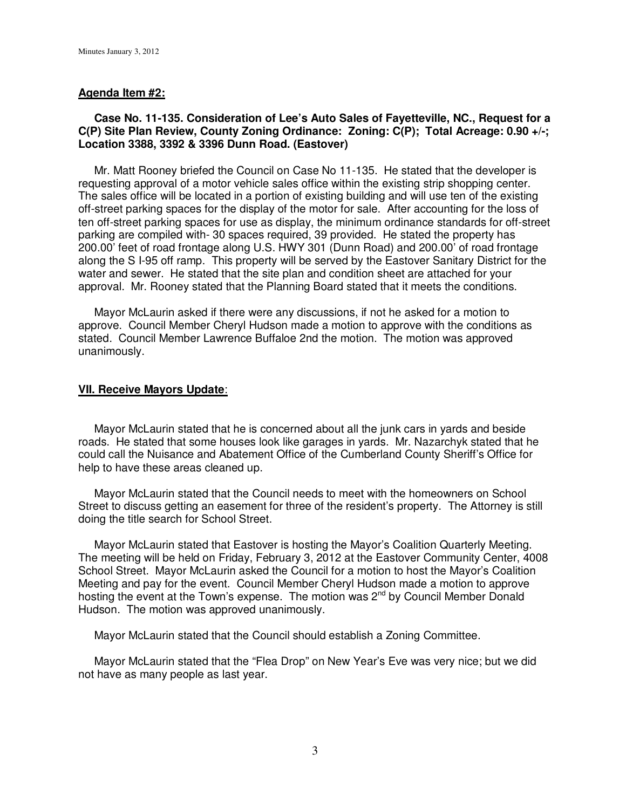#### **Agenda Item #2:**

## **Case No. 11-135. Consideration of Lee's Auto Sales of Fayetteville, NC., Request for a C(P) Site Plan Review, County Zoning Ordinance: Zoning: C(P); Total Acreage: 0.90 +/-; Location 3388, 3392 & 3396 Dunn Road. (Eastover)**

 Mr. Matt Rooney briefed the Council on Case No 11-135. He stated that the developer is requesting approval of a motor vehicle sales office within the existing strip shopping center. The sales office will be located in a portion of existing building and will use ten of the existing off-street parking spaces for the display of the motor for sale. After accounting for the loss of ten off-street parking spaces for use as display, the minimum ordinance standards for off-street parking are compiled with- 30 spaces required, 39 provided. He stated the property has 200.00' feet of road frontage along U.S. HWY 301 (Dunn Road) and 200.00' of road frontage along the S I-95 off ramp. This property will be served by the Eastover Sanitary District for the water and sewer. He stated that the site plan and condition sheet are attached for your approval. Mr. Rooney stated that the Planning Board stated that it meets the conditions.

 Mayor McLaurin asked if there were any discussions, if not he asked for a motion to approve. Council Member Cheryl Hudson made a motion to approve with the conditions as stated. Council Member Lawrence Buffaloe 2nd the motion. The motion was approved unanimously.

#### **VII. Receive Mayors Update**:

 Mayor McLaurin stated that he is concerned about all the junk cars in yards and beside roads. He stated that some houses look like garages in yards. Mr. Nazarchyk stated that he could call the Nuisance and Abatement Office of the Cumberland County Sheriff's Office for help to have these areas cleaned up.

 Mayor McLaurin stated that the Council needs to meet with the homeowners on School Street to discuss getting an easement for three of the resident's property. The Attorney is still doing the title search for School Street.

 Mayor McLaurin stated that Eastover is hosting the Mayor's Coalition Quarterly Meeting. The meeting will be held on Friday, February 3, 2012 at the Eastover Community Center, 4008 School Street. Mayor McLaurin asked the Council for a motion to host the Mayor's Coalition Meeting and pay for the event. Council Member Cheryl Hudson made a motion to approve hosting the event at the Town's expense. The motion was 2<sup>nd</sup> by Council Member Donald Hudson. The motion was approved unanimously.

Mayor McLaurin stated that the Council should establish a Zoning Committee.

 Mayor McLaurin stated that the "Flea Drop" on New Year's Eve was very nice; but we did not have as many people as last year.